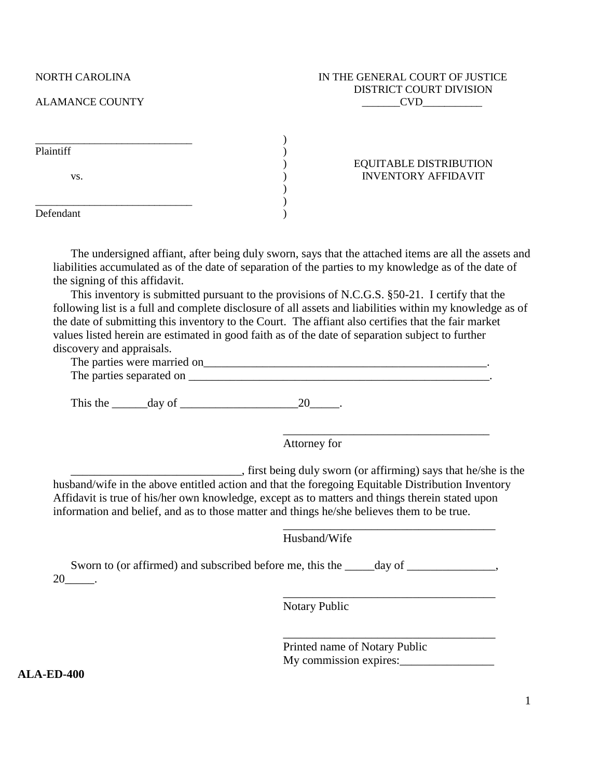## NORTH CAROLINA IN THE GENERAL COURT OF JUSTICE DISTRICT COURT DIVISION ALAMANCE COUNTY COUNTY

| Plaintiff |                               |
|-----------|-------------------------------|
|           | <b>EQUITABLE DISTRIBUTION</b> |
| VS.       | <b>INVENTORY AFFIDAVIT</b>    |
|           |                               |
|           |                               |
| Defendant |                               |

The undersigned affiant, after being duly sworn, says that the attached items are all the assets and liabilities accumulated as of the date of separation of the parties to my knowledge as of the date of the signing of this affidavit.

This inventory is submitted pursuant to the provisions of N.C.G.S. §50-21. I certify that the following list is a full and complete disclosure of all assets and liabilities within my knowledge as of the date of submitting this inventory to the Court. The affiant also certifies that the fair market values listed herein are estimated in good faith as of the date of separation subject to further discovery and appraisals.

| The parties were married on |  |
|-----------------------------|--|
| The parties separated on    |  |

This the  $\_\_\_\_\_\_\$  day of  $\_\_\_\_\_\_\_\_\_\_\_\_$ 

Attorney for

\_\_\_\_\_\_\_\_\_\_\_\_\_\_\_\_\_\_\_\_\_\_\_\_\_\_\_\_\_, first being duly sworn (or affirming) says that he/she is the husband/wife in the above entitled action and that the foregoing Equitable Distribution Inventory Affidavit is true of his/her own knowledge, except as to matters and things therein stated upon information and belief, and as to those matter and things he/she believes them to be true.

Husband/Wife

Sworn to (or affirmed) and subscribed before me, this the  $\_\_\_\_\_\_\$  day of  $\_\_\_\_\_\_\_\_\$  $20$  \_\_\_.

Notary Public

Printed name of Notary Public My commission expires:

\_\_\_\_\_\_\_\_\_\_\_\_\_\_\_\_\_\_\_\_\_\_\_\_\_\_\_\_\_\_\_\_\_\_\_

\_\_\_\_\_\_\_\_\_\_\_\_\_\_\_\_\_\_\_\_\_\_\_\_\_\_\_\_\_\_\_\_\_\_\_\_

\_\_\_\_\_\_\_\_\_\_\_\_\_\_\_\_\_\_\_\_\_\_\_\_\_\_\_\_\_\_\_\_\_\_\_\_

\_\_\_\_\_\_\_\_\_\_\_\_\_\_\_\_\_\_\_\_\_\_\_\_\_\_\_\_\_\_\_\_\_\_\_\_

**ALA-ED-400**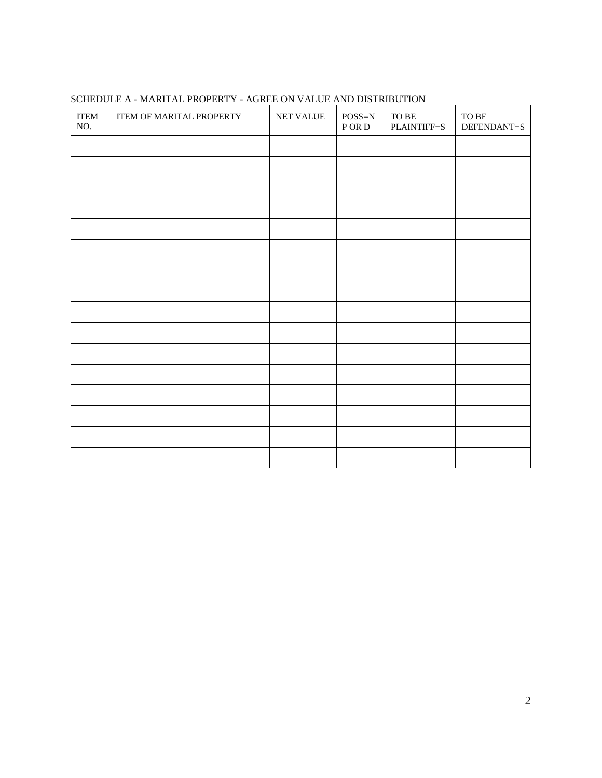| <b>ITEM</b><br>NO. | ITEM OF MARITAL PROPERTY | NET VALUE | $POSS=N$<br>${\tt P\,OR\,D}$ | ${\rm TO}$ ${\rm BE}$<br>PLAINTIFF=S | ${\rm TO}$ ${\rm BE}$<br>DEFENDANT=S |
|--------------------|--------------------------|-----------|------------------------------|--------------------------------------|--------------------------------------|
|                    |                          |           |                              |                                      |                                      |
|                    |                          |           |                              |                                      |                                      |
|                    |                          |           |                              |                                      |                                      |
|                    |                          |           |                              |                                      |                                      |
|                    |                          |           |                              |                                      |                                      |
|                    |                          |           |                              |                                      |                                      |
|                    |                          |           |                              |                                      |                                      |
|                    |                          |           |                              |                                      |                                      |
|                    |                          |           |                              |                                      |                                      |
|                    |                          |           |                              |                                      |                                      |
|                    |                          |           |                              |                                      |                                      |
|                    |                          |           |                              |                                      |                                      |
|                    |                          |           |                              |                                      |                                      |
|                    |                          |           |                              |                                      |                                      |
|                    |                          |           |                              |                                      |                                      |
|                    |                          |           |                              |                                      |                                      |

# SCHEDULE A - MARITAL PROPERTY - AGREE ON VALUE AND DISTRIBUTION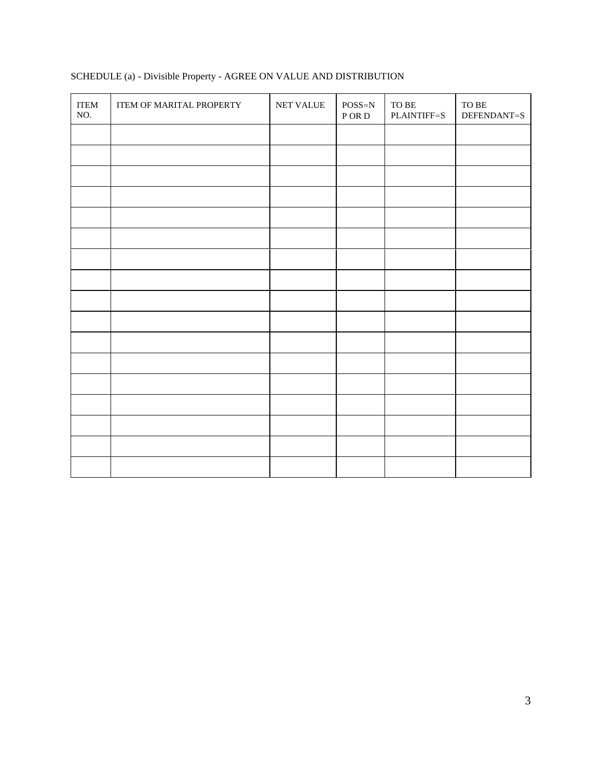| <b>ITEM</b><br>NO. | ITEM OF MARITAL PROPERTY | NET VALUE | $POSS=N$<br>P OR D | ${\rm TO}$ ${\rm BE}$<br>PLAINTIFF=S | ${\rm TO}$ ${\rm BE}$<br>DEFENDANT=S |
|--------------------|--------------------------|-----------|--------------------|--------------------------------------|--------------------------------------|
|                    |                          |           |                    |                                      |                                      |
|                    |                          |           |                    |                                      |                                      |
|                    |                          |           |                    |                                      |                                      |
|                    |                          |           |                    |                                      |                                      |
|                    |                          |           |                    |                                      |                                      |
|                    |                          |           |                    |                                      |                                      |
|                    |                          |           |                    |                                      |                                      |
|                    |                          |           |                    |                                      |                                      |
|                    |                          |           |                    |                                      |                                      |
|                    |                          |           |                    |                                      |                                      |
|                    |                          |           |                    |                                      |                                      |
|                    |                          |           |                    |                                      |                                      |
|                    |                          |           |                    |                                      |                                      |
|                    |                          |           |                    |                                      |                                      |
|                    |                          |           |                    |                                      |                                      |
|                    |                          |           |                    |                                      |                                      |
|                    |                          |           |                    |                                      |                                      |

# SCHEDULE (a) - Divisible Property - AGREE ON VALUE AND DISTRIBUTION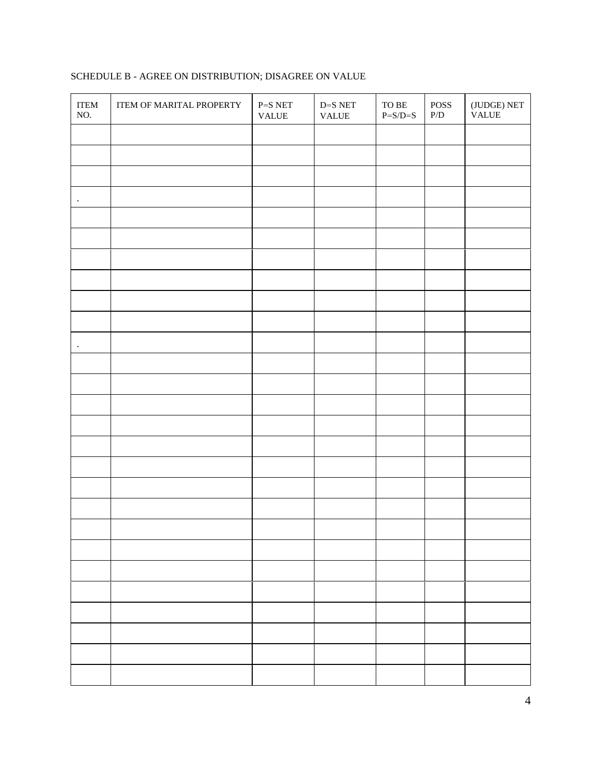| <b>ITEM</b><br>NO. | ITEM OF MARITAL PROPERTY | $\mbox{P=S}\xspace$ NET<br>VALUE | $\mathbf{D}\text{=} \mathbf{S} \; \mathbf{NET}$<br>$\ensuremath{\mathsf{VALUE}}$ | ${\rm TO}$ ${\rm BE}$<br>$P = S/D = S$ | ${\tt POSS}$<br>$\mathbf{P}/\mathbf{D}$ | $({\rm JUDGE})$ NET<br><b>VALUE</b> |
|--------------------|--------------------------|----------------------------------|----------------------------------------------------------------------------------|----------------------------------------|-----------------------------------------|-------------------------------------|
|                    |                          |                                  |                                                                                  |                                        |                                         |                                     |
|                    |                          |                                  |                                                                                  |                                        |                                         |                                     |
|                    |                          |                                  |                                                                                  |                                        |                                         |                                     |
| $\bullet$          |                          |                                  |                                                                                  |                                        |                                         |                                     |
|                    |                          |                                  |                                                                                  |                                        |                                         |                                     |
|                    |                          |                                  |                                                                                  |                                        |                                         |                                     |
|                    |                          |                                  |                                                                                  |                                        |                                         |                                     |
|                    |                          |                                  |                                                                                  |                                        |                                         |                                     |
|                    |                          |                                  |                                                                                  |                                        |                                         |                                     |
|                    |                          |                                  |                                                                                  |                                        |                                         |                                     |
| $\bullet$          |                          |                                  |                                                                                  |                                        |                                         |                                     |
|                    |                          |                                  |                                                                                  |                                        |                                         |                                     |
|                    |                          |                                  |                                                                                  |                                        |                                         |                                     |
|                    |                          |                                  |                                                                                  |                                        |                                         |                                     |
|                    |                          |                                  |                                                                                  |                                        |                                         |                                     |
|                    |                          |                                  |                                                                                  |                                        |                                         |                                     |
|                    |                          |                                  |                                                                                  |                                        |                                         |                                     |
|                    |                          |                                  |                                                                                  |                                        |                                         |                                     |
|                    |                          |                                  |                                                                                  |                                        |                                         |                                     |
|                    |                          |                                  |                                                                                  |                                        |                                         |                                     |
|                    |                          |                                  |                                                                                  |                                        |                                         |                                     |
|                    |                          |                                  |                                                                                  |                                        |                                         |                                     |
|                    |                          |                                  |                                                                                  |                                        |                                         |                                     |
|                    |                          |                                  |                                                                                  |                                        |                                         |                                     |
|                    |                          |                                  |                                                                                  |                                        |                                         |                                     |
|                    |                          |                                  |                                                                                  |                                        |                                         |                                     |
|                    |                          |                                  |                                                                                  |                                        |                                         |                                     |

# SCHEDULE B - AGREE ON DISTRIBUTION; DISAGREE ON VALUE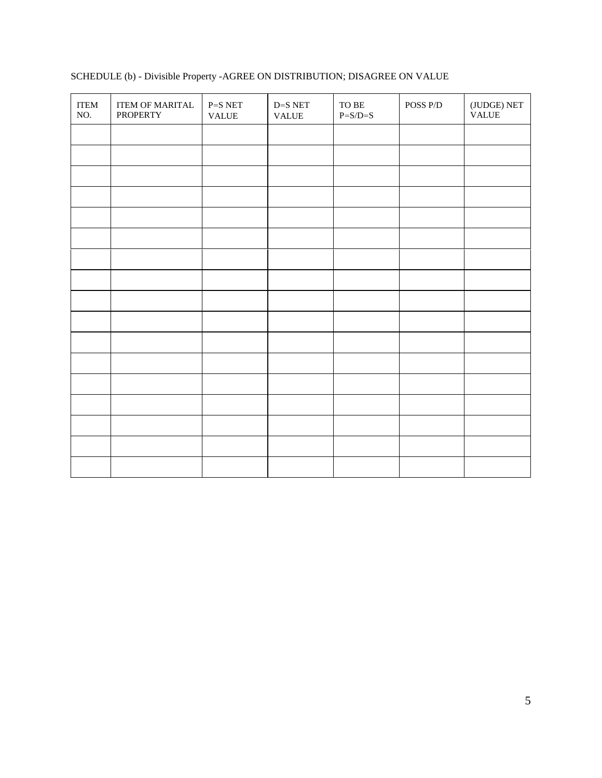| <b>ITEM</b><br>NO. | <b>ITEM OF MARITAL</b><br><b>PROPERTY</b> | $P = SNET$<br><b>VALUE</b> | $\mathbf{D}\text{=} \mathbf{S}\ \mathbf{NET}$<br><b>VALUE</b> | ${\rm TO}$ BE<br>$P = S/D = S$ | POSS P/D | $({\rm JUDGE})$ NET<br><b>VALUE</b> |
|--------------------|-------------------------------------------|----------------------------|---------------------------------------------------------------|--------------------------------|----------|-------------------------------------|
|                    |                                           |                            |                                                               |                                |          |                                     |
|                    |                                           |                            |                                                               |                                |          |                                     |
|                    |                                           |                            |                                                               |                                |          |                                     |
|                    |                                           |                            |                                                               |                                |          |                                     |
|                    |                                           |                            |                                                               |                                |          |                                     |
|                    |                                           |                            |                                                               |                                |          |                                     |
|                    |                                           |                            |                                                               |                                |          |                                     |
|                    |                                           |                            |                                                               |                                |          |                                     |
|                    |                                           |                            |                                                               |                                |          |                                     |
|                    |                                           |                            |                                                               |                                |          |                                     |
|                    |                                           |                            |                                                               |                                |          |                                     |
|                    |                                           |                            |                                                               |                                |          |                                     |
|                    |                                           |                            |                                                               |                                |          |                                     |
|                    |                                           |                            |                                                               |                                |          |                                     |
|                    |                                           |                            |                                                               |                                |          |                                     |
|                    |                                           |                            |                                                               |                                |          |                                     |
|                    |                                           |                            |                                                               |                                |          |                                     |

# SCHEDULE (b) - Divisible Property -AGREE ON DISTRIBUTION; DISAGREE ON VALUE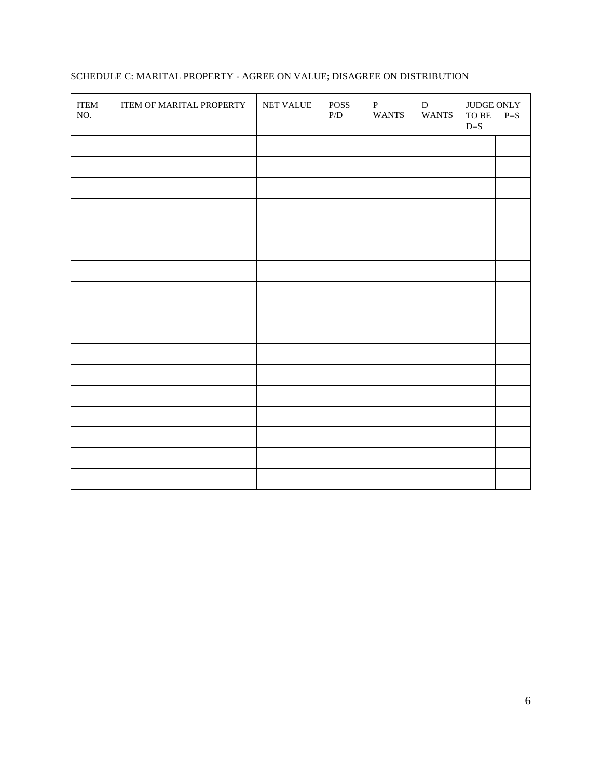| <b>ITEM</b><br>NO. | ITEM OF MARITAL PROPERTY | NET VALUE | <b>POSS</b><br>$\mathbf{P}/\mathbf{D}$ | $\, {\bf P}$<br><b>WANTS</b> | D<br><b>WANTS</b> | JUDGE ONLY<br>${\rm TO}$ BE<br>$D=S$ | $P=S$ |
|--------------------|--------------------------|-----------|----------------------------------------|------------------------------|-------------------|--------------------------------------|-------|
|                    |                          |           |                                        |                              |                   |                                      |       |
|                    |                          |           |                                        |                              |                   |                                      |       |
|                    |                          |           |                                        |                              |                   |                                      |       |
|                    |                          |           |                                        |                              |                   |                                      |       |
|                    |                          |           |                                        |                              |                   |                                      |       |
|                    |                          |           |                                        |                              |                   |                                      |       |
|                    |                          |           |                                        |                              |                   |                                      |       |
|                    |                          |           |                                        |                              |                   |                                      |       |
|                    |                          |           |                                        |                              |                   |                                      |       |
|                    |                          |           |                                        |                              |                   |                                      |       |
|                    |                          |           |                                        |                              |                   |                                      |       |
|                    |                          |           |                                        |                              |                   |                                      |       |
|                    |                          |           |                                        |                              |                   |                                      |       |
|                    |                          |           |                                        |                              |                   |                                      |       |
|                    |                          |           |                                        |                              |                   |                                      |       |
|                    |                          |           |                                        |                              |                   |                                      |       |
|                    |                          |           |                                        |                              |                   |                                      |       |

# SCHEDULE C: MARITAL PROPERTY - AGREE ON VALUE; DISAGREE ON DISTRIBUTION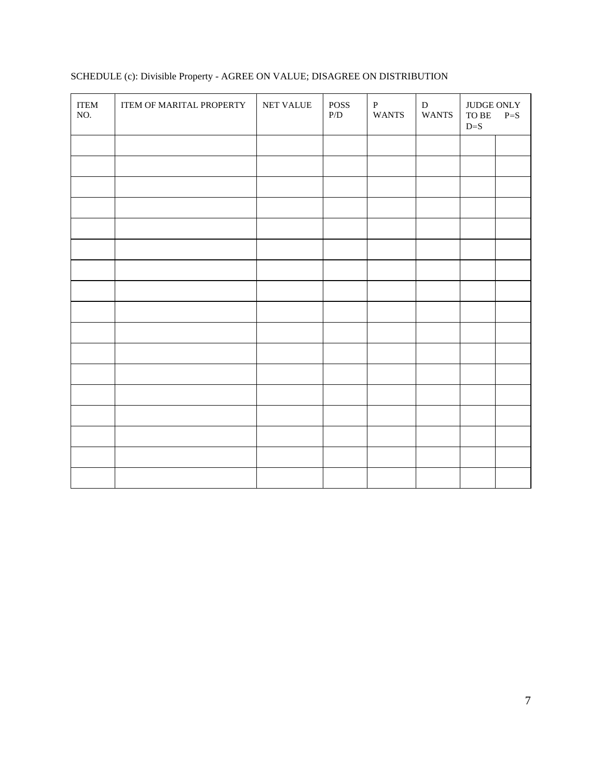| <b>ITEM</b><br>NO. | ITEM OF MARITAL PROPERTY | NET VALUE | <b>POSS</b><br>$\mathbf{P}/\mathbf{D}$ | $\, {\bf P}$<br><b>WANTS</b> | D<br><b>WANTS</b> | JUDGE ONLY<br>${\rm TO}$ BE<br>$D=S$ | $P=S$ |
|--------------------|--------------------------|-----------|----------------------------------------|------------------------------|-------------------|--------------------------------------|-------|
|                    |                          |           |                                        |                              |                   |                                      |       |
|                    |                          |           |                                        |                              |                   |                                      |       |
|                    |                          |           |                                        |                              |                   |                                      |       |
|                    |                          |           |                                        |                              |                   |                                      |       |
|                    |                          |           |                                        |                              |                   |                                      |       |
|                    |                          |           |                                        |                              |                   |                                      |       |
|                    |                          |           |                                        |                              |                   |                                      |       |
|                    |                          |           |                                        |                              |                   |                                      |       |
|                    |                          |           |                                        |                              |                   |                                      |       |
|                    |                          |           |                                        |                              |                   |                                      |       |
|                    |                          |           |                                        |                              |                   |                                      |       |
|                    |                          |           |                                        |                              |                   |                                      |       |
|                    |                          |           |                                        |                              |                   |                                      |       |
|                    |                          |           |                                        |                              |                   |                                      |       |
|                    |                          |           |                                        |                              |                   |                                      |       |
|                    |                          |           |                                        |                              |                   |                                      |       |
|                    |                          |           |                                        |                              |                   |                                      |       |
|                    |                          |           |                                        |                              |                   |                                      |       |

# SCHEDULE (c): Divisible Property - AGREE ON VALUE; DISAGREE ON DISTRIBUTION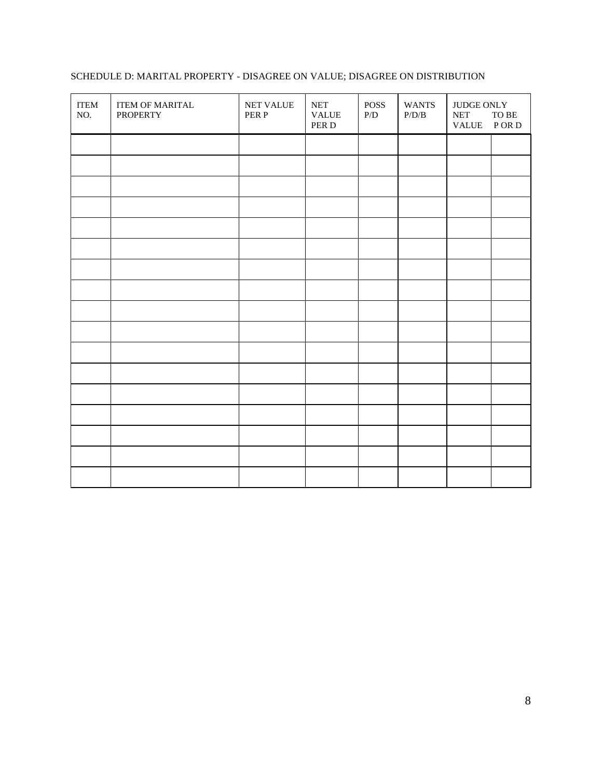| <b>ITEM</b><br>NO. | ITEM OF MARITAL<br><b>PROPERTY</b> | NET VALUE<br>PER P | $\operatorname{NET}$<br><b>VALUE</b><br>PER D | <b>POSS</b><br>$\rm P/D$ | <b>WANTS</b><br>$\rm P/D/B$ | <b>JUDGE ONLY</b><br>$\operatorname{NET}$<br>VALUE PORD | ${\rm TO}$ ${\rm BE}$ |
|--------------------|------------------------------------|--------------------|-----------------------------------------------|--------------------------|-----------------------------|---------------------------------------------------------|-----------------------|
|                    |                                    |                    |                                               |                          |                             |                                                         |                       |
|                    |                                    |                    |                                               |                          |                             |                                                         |                       |
|                    |                                    |                    |                                               |                          |                             |                                                         |                       |
|                    |                                    |                    |                                               |                          |                             |                                                         |                       |
|                    |                                    |                    |                                               |                          |                             |                                                         |                       |
|                    |                                    |                    |                                               |                          |                             |                                                         |                       |
|                    |                                    |                    |                                               |                          |                             |                                                         |                       |
|                    |                                    |                    |                                               |                          |                             |                                                         |                       |
|                    |                                    |                    |                                               |                          |                             |                                                         |                       |
|                    |                                    |                    |                                               |                          |                             |                                                         |                       |
|                    |                                    |                    |                                               |                          |                             |                                                         |                       |
|                    |                                    |                    |                                               |                          |                             |                                                         |                       |
|                    |                                    |                    |                                               |                          |                             |                                                         |                       |
|                    |                                    |                    |                                               |                          |                             |                                                         |                       |
|                    |                                    |                    |                                               |                          |                             |                                                         |                       |
|                    |                                    |                    |                                               |                          |                             |                                                         |                       |
|                    |                                    |                    |                                               |                          |                             |                                                         |                       |

## SCHEDULE D: MARITAL PROPERTY - DISAGREE ON VALUE; DISAGREE ON DISTRIBUTION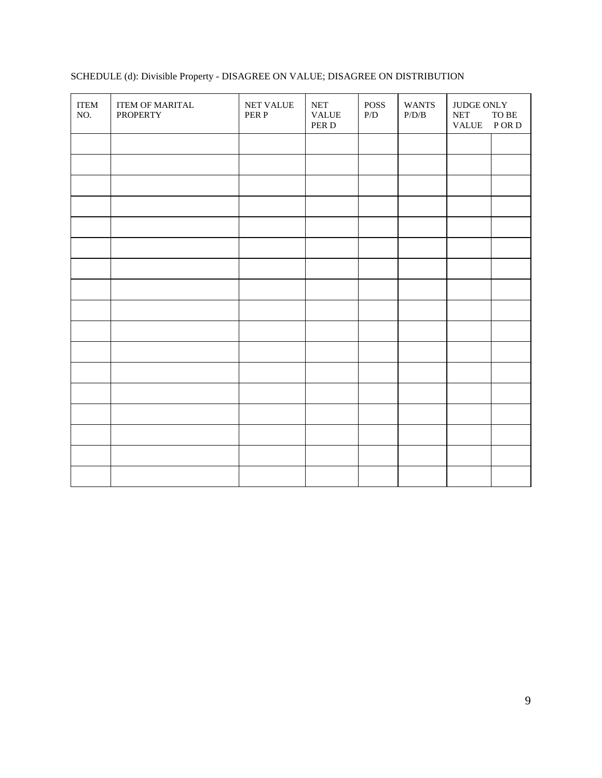| <b>ITEM</b><br>NO. | <b>ITEM OF MARITAL</b><br><b>PROPERTY</b> | NET VALUE<br>PER P | $\operatorname{NET}$<br><b>VALUE</b><br>PER D | <b>POSS</b><br>P/D | <b>WANTS</b><br>$\rm P/D/B$ | JUDGE ONLY<br><b>NET</b><br><b>VALUE</b> | TO BE<br>P OR D |
|--------------------|-------------------------------------------|--------------------|-----------------------------------------------|--------------------|-----------------------------|------------------------------------------|-----------------|
|                    |                                           |                    |                                               |                    |                             |                                          |                 |
|                    |                                           |                    |                                               |                    |                             |                                          |                 |
|                    |                                           |                    |                                               |                    |                             |                                          |                 |
|                    |                                           |                    |                                               |                    |                             |                                          |                 |
|                    |                                           |                    |                                               |                    |                             |                                          |                 |
|                    |                                           |                    |                                               |                    |                             |                                          |                 |
|                    |                                           |                    |                                               |                    |                             |                                          |                 |
|                    |                                           |                    |                                               |                    |                             |                                          |                 |
|                    |                                           |                    |                                               |                    |                             |                                          |                 |
|                    |                                           |                    |                                               |                    |                             |                                          |                 |
|                    |                                           |                    |                                               |                    |                             |                                          |                 |
|                    |                                           |                    |                                               |                    |                             |                                          |                 |
|                    |                                           |                    |                                               |                    |                             |                                          |                 |
|                    |                                           |                    |                                               |                    |                             |                                          |                 |
|                    |                                           |                    |                                               |                    |                             |                                          |                 |
|                    |                                           |                    |                                               |                    |                             |                                          |                 |
|                    |                                           |                    |                                               |                    |                             |                                          |                 |

# SCHEDULE (d): Divisible Property - DISAGREE ON VALUE; DISAGREE ON DISTRIBUTION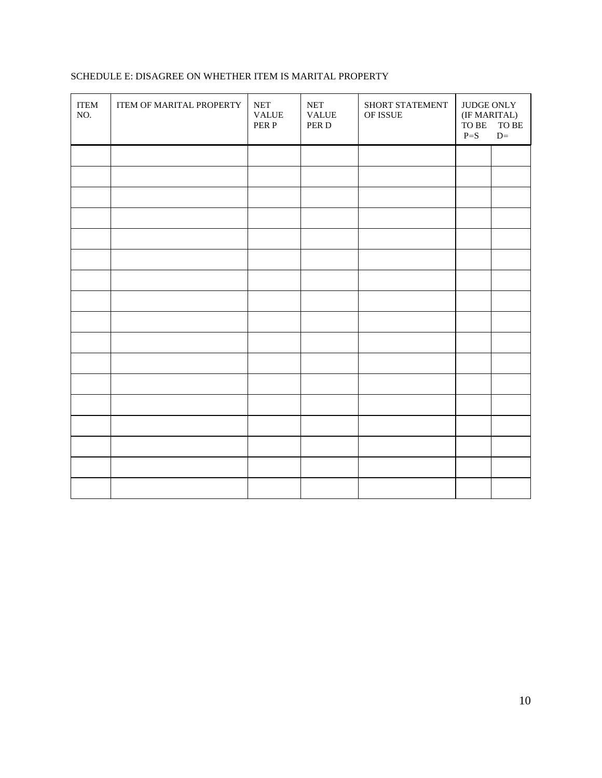# SCHEDULE E: DISAGREE ON WHETHER ITEM IS MARITAL PROPERTY

| $\ensuremath{\mathsf{ITEM}}\xspace$<br>NO. | ITEM OF MARITAL PROPERTY | $\operatorname{NET}$<br><b>VALUE</b><br>PER P | <b>NET</b><br><b>VALUE</b><br>PER D | SHORT STATEMENT<br>OF ISSUE | JUDGE ONLY<br>(IF MARITAL)<br>TO BE<br>$P = S$ | TO BE<br>$D=$ |
|--------------------------------------------|--------------------------|-----------------------------------------------|-------------------------------------|-----------------------------|------------------------------------------------|---------------|
|                                            |                          |                                               |                                     |                             |                                                |               |
|                                            |                          |                                               |                                     |                             |                                                |               |
|                                            |                          |                                               |                                     |                             |                                                |               |
|                                            |                          |                                               |                                     |                             |                                                |               |
|                                            |                          |                                               |                                     |                             |                                                |               |
|                                            |                          |                                               |                                     |                             |                                                |               |
|                                            |                          |                                               |                                     |                             |                                                |               |
|                                            |                          |                                               |                                     |                             |                                                |               |
|                                            |                          |                                               |                                     |                             |                                                |               |
|                                            |                          |                                               |                                     |                             |                                                |               |
|                                            |                          |                                               |                                     |                             |                                                |               |
|                                            |                          |                                               |                                     |                             |                                                |               |
|                                            |                          |                                               |                                     |                             |                                                |               |
|                                            |                          |                                               |                                     |                             |                                                |               |
|                                            |                          |                                               |                                     |                             |                                                |               |
|                                            |                          |                                               |                                     |                             |                                                |               |
|                                            |                          |                                               |                                     |                             |                                                |               |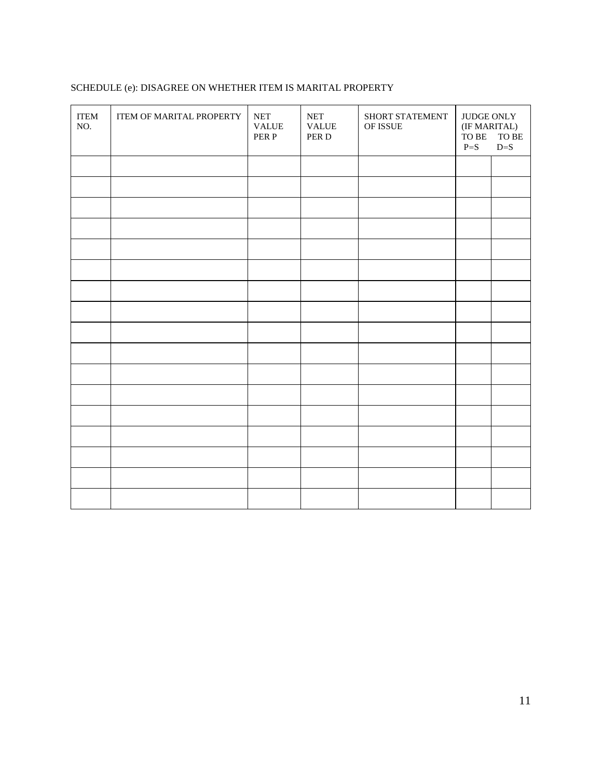| SCHEDULE (e): DISAGREE ON WHETHER ITEM IS MARITAL PROPERTY |  |  |  |
|------------------------------------------------------------|--|--|--|
|                                                            |  |  |  |

| <b>ITEM</b><br>NO. | ITEM OF MARITAL PROPERTY | $\operatorname{NET}$<br><b>VALUE</b><br>PER P | <b>NET</b><br><b>VALUE</b><br>PER D | SHORT STATEMENT<br>OF ISSUE | JUDGE ONLY<br>(IF MARITAL)<br>TO BE<br>${\rm TO}$ ${\rm BE}$<br>$P = S$<br>$D=S$ |  |
|--------------------|--------------------------|-----------------------------------------------|-------------------------------------|-----------------------------|----------------------------------------------------------------------------------|--|
|                    |                          |                                               |                                     |                             |                                                                                  |  |
|                    |                          |                                               |                                     |                             |                                                                                  |  |
|                    |                          |                                               |                                     |                             |                                                                                  |  |
|                    |                          |                                               |                                     |                             |                                                                                  |  |
|                    |                          |                                               |                                     |                             |                                                                                  |  |
|                    |                          |                                               |                                     |                             |                                                                                  |  |
|                    |                          |                                               |                                     |                             |                                                                                  |  |
|                    |                          |                                               |                                     |                             |                                                                                  |  |
|                    |                          |                                               |                                     |                             |                                                                                  |  |
|                    |                          |                                               |                                     |                             |                                                                                  |  |
|                    |                          |                                               |                                     |                             |                                                                                  |  |
|                    |                          |                                               |                                     |                             |                                                                                  |  |
|                    |                          |                                               |                                     |                             |                                                                                  |  |
|                    |                          |                                               |                                     |                             |                                                                                  |  |
|                    |                          |                                               |                                     |                             |                                                                                  |  |
|                    |                          |                                               |                                     |                             |                                                                                  |  |
|                    |                          |                                               |                                     |                             |                                                                                  |  |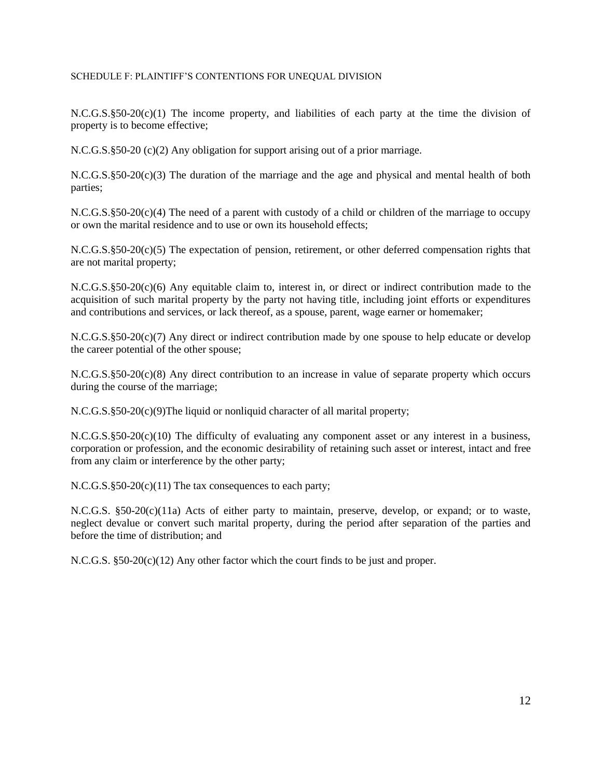### SCHEDULE F: PLAINTIFF'S CONTENTIONS FOR UNEQUAL DIVISION

N.C.G.S.§50-20(c)(1) The income property, and liabilities of each party at the time the division of property is to become effective;

N.C.G.S.§50-20 (c)(2) Any obligation for support arising out of a prior marriage.

 $N.C.G.S.\$ §50-20(c)(3) The duration of the marriage and the age and physical and mental health of both parties;

N.C.G.S.§50-20(c)(4) The need of a parent with custody of a child or children of the marriage to occupy or own the marital residence and to use or own its household effects;

N.C.G.S.§50-20(c)(5) The expectation of pension, retirement, or other deferred compensation rights that are not marital property;

N.C.G.S.§50-20(c)(6) Any equitable claim to, interest in, or direct or indirect contribution made to the acquisition of such marital property by the party not having title, including joint efforts or expenditures and contributions and services, or lack thereof, as a spouse, parent, wage earner or homemaker;

N.C.G.S.§50-20(c)(7) Any direct or indirect contribution made by one spouse to help educate or develop the career potential of the other spouse;

N.C.G.S.§50-20(c)(8) Any direct contribution to an increase in value of separate property which occurs during the course of the marriage;

N.C.G.S.§50-20(c)(9)The liquid or nonliquid character of all marital property;

N.C.G.S.§50-20(c)(10) The difficulty of evaluating any component asset or any interest in a business, corporation or profession, and the economic desirability of retaining such asset or interest, intact and free from any claim or interference by the other party;

N.C.G.S.§50-20(c)(11) The tax consequences to each party;

N.C.G.S. §50-20(c)(11a) Acts of either party to maintain, preserve, develop, or expand; or to waste, neglect devalue or convert such marital property, during the period after separation of the parties and before the time of distribution; and

N.C.G.S. §50-20(c)(12) Any other factor which the court finds to be just and proper.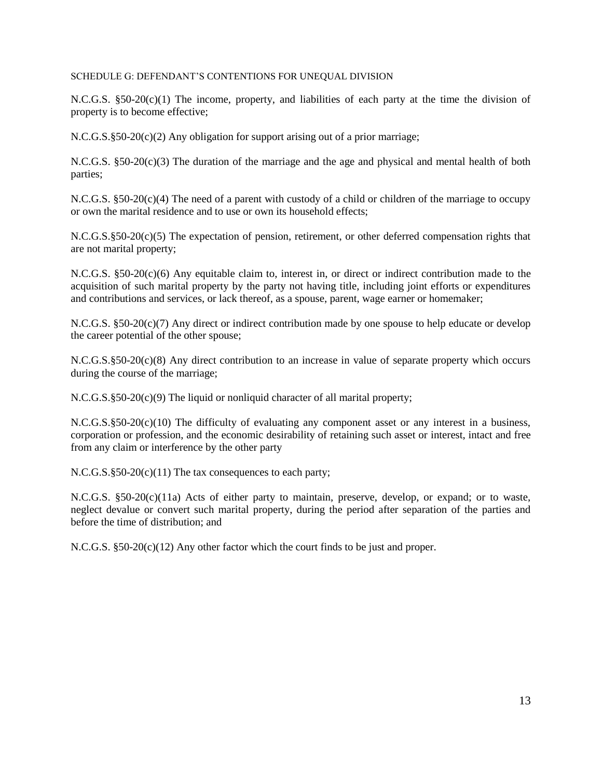### SCHEDULE G: DEFENDANT'S CONTENTIONS FOR UNEQUAL DIVISION

N.C.G.S. §50-20(c)(1) The income, property, and liabilities of each party at the time the division of property is to become effective;

 $N.C.G.S.\$ §50-20(c)(2) Any obligation for support arising out of a prior marriage;

N.C.G.S. §50-20(c)(3) The duration of the marriage and the age and physical and mental health of both parties;

N.C.G.S. §50-20(c)(4) The need of a parent with custody of a child or children of the marriage to occupy or own the marital residence and to use or own its household effects;

N.C.G.S.§50-20(c)(5) The expectation of pension, retirement, or other deferred compensation rights that are not marital property;

N.C.G.S. §50-20(c)(6) Any equitable claim to, interest in, or direct or indirect contribution made to the acquisition of such marital property by the party not having title, including joint efforts or expenditures and contributions and services, or lack thereof, as a spouse, parent, wage earner or homemaker;

N.C.G.S. §50-20(c)(7) Any direct or indirect contribution made by one spouse to help educate or develop the career potential of the other spouse;

N.C.G.S.§50-20(c)(8) Any direct contribution to an increase in value of separate property which occurs during the course of the marriage;

N.C.G.S.§50-20(c)(9) The liquid or nonliquid character of all marital property;

 $N.C.G.S.\$ §50-20(c)(10) The difficulty of evaluating any component asset or any interest in a business, corporation or profession, and the economic desirability of retaining such asset or interest, intact and free from any claim or interference by the other party

N.C.G.S.§50-20(c)(11) The tax consequences to each party;

N.C.G.S. §50-20(c)(11a) Acts of either party to maintain, preserve, develop, or expand; or to waste, neglect devalue or convert such marital property, during the period after separation of the parties and before the time of distribution; and

N.C.G.S. §50-20(c)(12) Any other factor which the court finds to be just and proper.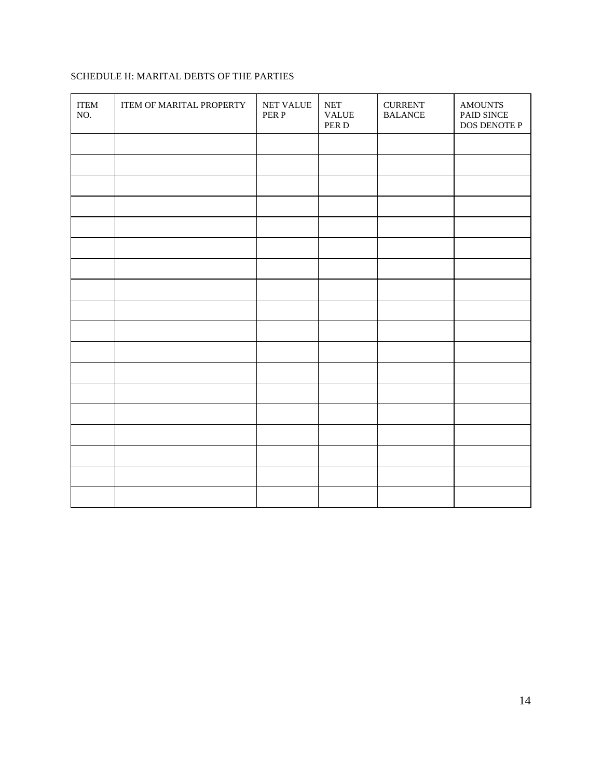# SCHEDULE H: MARITAL DEBTS OF THE PARTIES

| <b>ITEM</b><br>NO. | ITEM OF MARITAL PROPERTY | NET VALUE<br>PER P | $\operatorname{NET}$<br><b>VALUE</b><br>PER D | <b>CURRENT</b><br><b>BALANCE</b> | <b>AMOUNTS</b><br>PAID SINCE<br>DOS DENOTE P |
|--------------------|--------------------------|--------------------|-----------------------------------------------|----------------------------------|----------------------------------------------|
|                    |                          |                    |                                               |                                  |                                              |
|                    |                          |                    |                                               |                                  |                                              |
|                    |                          |                    |                                               |                                  |                                              |
|                    |                          |                    |                                               |                                  |                                              |
|                    |                          |                    |                                               |                                  |                                              |
|                    |                          |                    |                                               |                                  |                                              |
|                    |                          |                    |                                               |                                  |                                              |
|                    |                          |                    |                                               |                                  |                                              |
|                    |                          |                    |                                               |                                  |                                              |
|                    |                          |                    |                                               |                                  |                                              |
|                    |                          |                    |                                               |                                  |                                              |
|                    |                          |                    |                                               |                                  |                                              |
|                    |                          |                    |                                               |                                  |                                              |
|                    |                          |                    |                                               |                                  |                                              |
|                    |                          |                    |                                               |                                  |                                              |
|                    |                          |                    |                                               |                                  |                                              |
|                    |                          |                    |                                               |                                  |                                              |
|                    |                          |                    |                                               |                                  |                                              |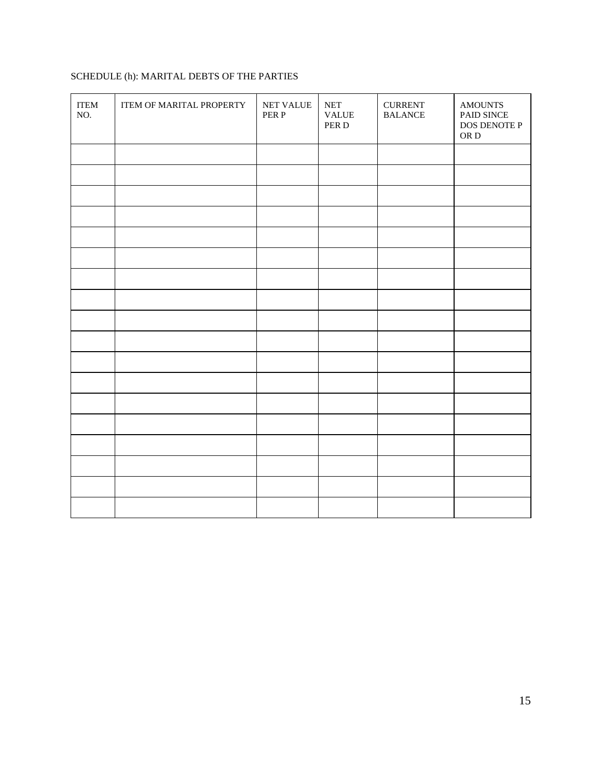# SCHEDULE (h): MARITAL DEBTS OF THE PARTIES

| <b>ITEM</b><br>NO. | ITEM OF MARITAL PROPERTY | NET VALUE<br>PER P | $\operatorname{NET}$<br><b>VALUE</b><br>PER D | <b>CURRENT</b><br><b>BALANCE</b> | <b>AMOUNTS</b><br>PAID SINCE<br>DOS DENOTE P<br>OR ${\bf D}$ |
|--------------------|--------------------------|--------------------|-----------------------------------------------|----------------------------------|--------------------------------------------------------------|
|                    |                          |                    |                                               |                                  |                                                              |
|                    |                          |                    |                                               |                                  |                                                              |
|                    |                          |                    |                                               |                                  |                                                              |
|                    |                          |                    |                                               |                                  |                                                              |
|                    |                          |                    |                                               |                                  |                                                              |
|                    |                          |                    |                                               |                                  |                                                              |
|                    |                          |                    |                                               |                                  |                                                              |
|                    |                          |                    |                                               |                                  |                                                              |
|                    |                          |                    |                                               |                                  |                                                              |
|                    |                          |                    |                                               |                                  |                                                              |
|                    |                          |                    |                                               |                                  |                                                              |
|                    |                          |                    |                                               |                                  |                                                              |
|                    |                          |                    |                                               |                                  |                                                              |
|                    |                          |                    |                                               |                                  |                                                              |
|                    |                          |                    |                                               |                                  |                                                              |
|                    |                          |                    |                                               |                                  |                                                              |
|                    |                          |                    |                                               |                                  |                                                              |
|                    |                          |                    |                                               |                                  |                                                              |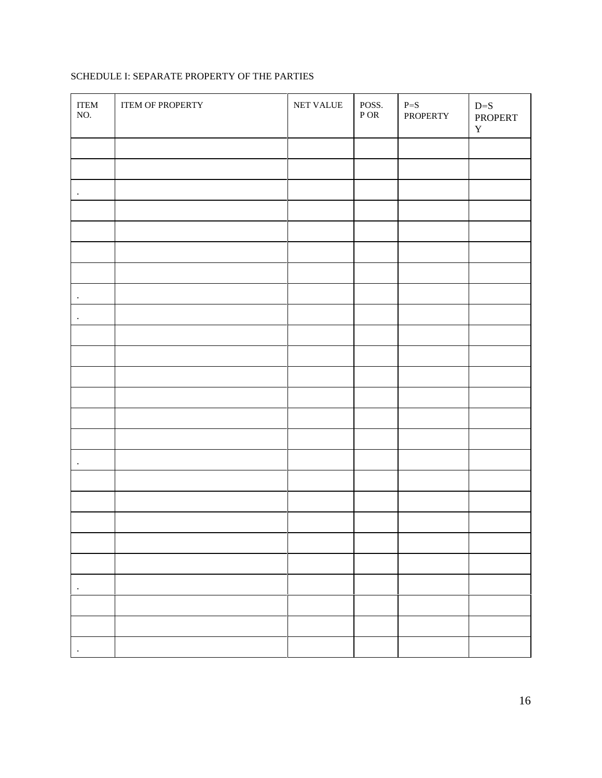# SCHEDULE I: SEPARATE PROPERTY OF THE PARTIES

| <b>ITEM</b><br>NO. | <b>ITEM OF PROPERTY</b> | NET VALUE | POSS.<br>${\bf P}$ OR | $P = S$<br>PROPERTY | $D=S$<br>PROPERT<br>$\mathbf Y$ |
|--------------------|-------------------------|-----------|-----------------------|---------------------|---------------------------------|
|                    |                         |           |                       |                     |                                 |
|                    |                         |           |                       |                     |                                 |
| $\cdot$            |                         |           |                       |                     |                                 |
|                    |                         |           |                       |                     |                                 |
|                    |                         |           |                       |                     |                                 |
|                    |                         |           |                       |                     |                                 |
|                    |                         |           |                       |                     |                                 |
| $\cdot$            |                         |           |                       |                     |                                 |
| $\bullet$          |                         |           |                       |                     |                                 |
|                    |                         |           |                       |                     |                                 |
|                    |                         |           |                       |                     |                                 |
|                    |                         |           |                       |                     |                                 |
|                    |                         |           |                       |                     |                                 |
|                    |                         |           |                       |                     |                                 |
|                    |                         |           |                       |                     |                                 |
| $\bullet$          |                         |           |                       |                     |                                 |
|                    |                         |           |                       |                     |                                 |
|                    |                         |           |                       |                     |                                 |
|                    |                         |           |                       |                     |                                 |
|                    |                         |           |                       |                     |                                 |
|                    |                         |           |                       |                     |                                 |
| $\cdot$            |                         |           |                       |                     |                                 |
|                    |                         |           |                       |                     |                                 |
|                    |                         |           |                       |                     |                                 |
|                    |                         |           |                       |                     |                                 |